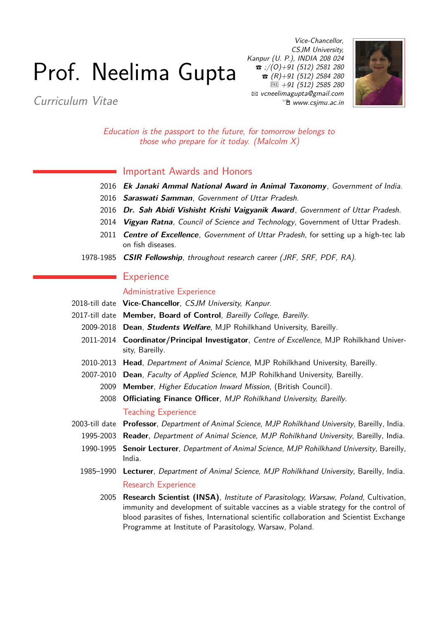# Prof. Neelima Gupta

Curriculum Vitae

Vice-Chancellor, CSJM University, Kanpur (U. P.), INDIA 208 024  $\bullet$  ;/(0)+91 (512) 2581 280  $\bullet$  (R)+91 (512) 2584 280  $\overline{FAX}$  +91 (512) 2585 280 B [vcneelimagupta@gmail.com](mailto:vcneelimagupta@gmail.com)  $\hat{p}$  www.csimu.ac.in



Education is the passport to the future, for tomorrow belongs to those who prepare for it today. (Malcolm  $X$ )

#### Important Awards and Honors

- 2016 **Ek Janaki Ammal National Award in Animal Taxonomy**, Government of India.
- 2016 **Saraswati Samman**, Government of Uttar Pradesh.
- 2016 **Dr. Sah Abidi Vishisht Krishi Vaigyanik Award**, Government of Uttar Pradesh.
- 2014 **Vigyan Ratna**, Council of Science and Technology, Government of Uttar Pradesh.
- 2011 **Centre of Excellence**, Government of Uttar Pradesh, for setting up a high-tec lab on fish diseases.
- 1978-1985 **CSIR Fellowship**, throughout research career (JRF, SRF, PDF, RA).

## **Experience**

#### Administrative Experience

- 2018-till date **Vice-Chancellor**, CSJM University, Kanpur.
- 2017-till date **Member, Board of Control**, Bareilly College, Bareilly.
	- 2009-2018 **Dean**, **Students Welfare**, MJP Rohilkhand University, Bareilly.
	- 2011-2014 **Coordinator/Principal Investigator**, Centre of Excellence, MJP Rohilkhand University, Bareilly.
	- 2010-2013 **Head**, Department of Animal Science, MJP Rohilkhand University, Bareilly.
	- 2007-2010 **Dean**, Faculty of Applied Science, MJP Rohilkhand University, Bareilly.
		- 2009 **Member**, Higher Education Inward Mission, (British Council).
		- 2008 **Officiating Finance Officer**, MJP Rohilkhand University, Bareilly.

#### Teaching Experience

- 2003-till date **Professor**, Department of Animal Science, MJP Rohilkhand University, Bareilly, India.
	- 1995-2003 **Reader**, Department of Animal Science, MJP Rohilkhand University, Bareilly, India.
	- 1990-1995 **Senoir Lecturer**, Department of Animal Science, MJP Rohilkhand University, Bareilly, India.
	- 1985–1990 **Lecturer**, Department of Animal Science, MJP Rohilkhand University, Bareilly, India. Research Experience
		- 2005 **Research Scientist (INSA)**, Institute of Parasitology, Warsaw, Poland, Cultivation, immunity and development of suitable vaccines as a viable strategy for the control of blood parasites of fishes, International scientific collaboration and Scientist Exchange Programme at Institute of Parasitology, Warsaw, Poland.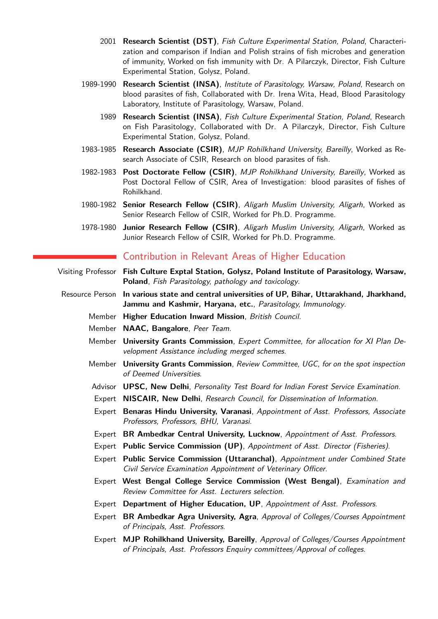- 2001 **Research Scientist (DST)**, Fish Culture Experimental Station, Poland, Characterization and comparison if Indian and Polish strains of fish microbes and generation of immunity, Worked on fish immunity with Dr. A Pilarczyk, Director, Fish Culture Experimental Station, Golysz, Poland.
- 1989-1990 **Research Scientist (INSA)**, Institute of Parasitology, Warsaw, Poland, Research on blood parasites of fish, Collaborated with Dr. Irena Wita, Head, Blood Parasitology Laboratory, Institute of Parasitology, Warsaw, Poland.
	- 1989 **Research Scientist (INSA)**, Fish Culture Experimental Station, Poland, Research on Fish Parasitology, Collaborated with Dr. A Pilarczyk, Director, Fish Culture Experimental Station, Golysz, Poland.
- 1983-1985 **Research Associate (CSIR)**, MJP Rohilkhand University, Bareilly, Worked as Research Associate of CSIR, Research on blood parasites of fish.
- 1982-1983 **Post Doctorate Fellow (CSIR)**, MJP Rohilkhand University, Bareilly, Worked as Post Doctoral Fellow of CSIR, Area of Investigation: blood parasites of fishes of Rohilkhand.
- 1980-1982 **Senior Research Fellow (CSIR)**, Aligarh Muslim University, Aligarh, Worked as Senior Research Fellow of CSIR, Worked for Ph.D. Programme.
- 1978-1980 **Junior Research Fellow (CSIR)**, Aligarh Muslim University, Aligarh, Worked as Junior Research Fellow of CSIR, Worked for Ph.D. Programme.

## Contribution in Relevant Areas of Higher Education

- Visiting Professor **Fish Culture Exptal Station, Golysz, Poland Institute of Parasitology, Warsaw, Poland**, Fish Parasitology, pathology and toxicology.
- Resource Person **In various state and central universities of UP, Bihar, Uttarakhand, Jharkhand, Jammu and Kashmir, Haryana, etc.**, Parasitology, Immunology.
	- Member **Higher Education Inward Mission**, British Council.
	- Member **NAAC, Bangalore**, Peer Team.
	- Member **University Grants Commission**, Expert Committee, for allocation for XI Plan Development Assistance including merged schemes.
	- Member **University Grants Commission**, Review Committee, UGC, for on the spot inspection of Deemed Universities.
	- Advisor **UPSC, New Delhi**, Personality Test Board for Indian Forest Service Examination.
	- Expert **NISCAIR, New Delhi**, Research Council, for Dissemination of Information.
	- Expert **Benaras Hindu University, Varanasi**, Appointment of Asst. Professors, Associate Professors, Professors, BHU, Varanasi.
	- Expert **BR Ambedkar Central University, Lucknow**, Appointment of Asst. Professors.
	- Expert **Public Service Commission (UP)**, Appointment of Asst. Director (Fisheries).
	- Expert **Public Service Commission (Uttaranchal)**, Appointment under Combined State Civil Service Examination Appointment of Veterinary Officer.
	- Expert **West Bengal College Service Commission (West Bengal)**, Examination and Review Committee for Asst. Lecturers selection.
	- Expert **Department of Higher Education, UP**, Appointment of Asst. Professors.
	- Expert **BR Ambedkar Agra University, Agra**, Approval of Colleges/Courses Appointment of Principals, Asst. Professors.
	- Expert **MJP Rohilkhand University, Bareilly**, Approval of Colleges/Courses Appointment of Principals, Asst. Professors Enquiry committees/Approval of colleges.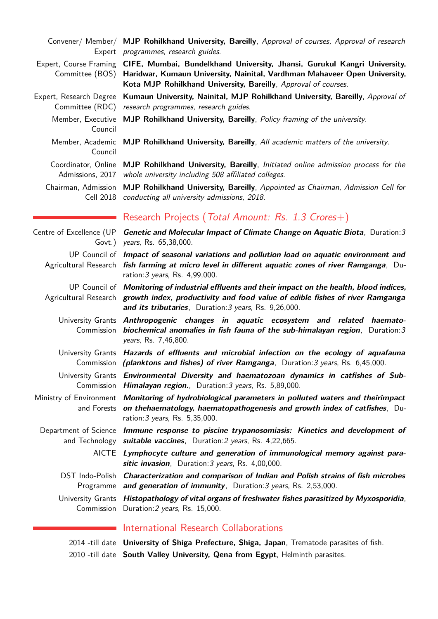|                                            | Convener/ Member/ MJP Rohilkhand University, Bareilly, Approval of courses, Approval of research<br>Expert programmes, research guides.                                                                                                                        |
|--------------------------------------------|----------------------------------------------------------------------------------------------------------------------------------------------------------------------------------------------------------------------------------------------------------------|
|                                            | Expert, Course Framing CIFE, Mumbai, Bundelkhand University, Jhansi, Gurukul Kangri University,<br>Committee (BOS) Haridwar, Kumaun University, Nainital, Vardhman Mahaveer Open University,<br>Kota MJP Rohilkhand University, Bareilly, Approval of courses. |
| Expert, Research Degree<br>Committee (RDC) | Kumaun University, Nainital, MJP Rohilkhand University, Bareilly, Approval of<br>research programmes, research guides.                                                                                                                                         |
| Member, Executive<br>Council               | MJP Rohilkhand University, Bareilly, Policy framing of the university.                                                                                                                                                                                         |
| Council                                    | Member, Academic MJP Rohilkhand University, Bareilly, All academic matters of the university.                                                                                                                                                                  |
| Coordinator, Online<br>Admissions, 2017    | MJP Rohilkhand University, Bareilly, Initiated online admission process for the<br>whole university including 508 affiliated colleges.                                                                                                                         |
| Chairman, Admission                        | MJP Rohilkhand University, Bareilly, Appointed as Chairman, Admission Cell for<br>Cell 2018 conducting all university admissions, 2018.                                                                                                                        |
|                                            | Research Projects (Total Amount: Rs. 1.3 Crores+)                                                                                                                                                                                                              |
|                                            | Centre of Excellence (UP Genetic and Molecular Impact of Climate Change on Aquatic Biota, Duration: 3<br>Govt.) years, Rs. 65,38,000.                                                                                                                          |
|                                            | UP Council of Impact of seasonal variations and pollution load on aquatic environment and<br>Agricultural Research fish farming at micro level in different aquatic zones of river Ramganga, Du-<br>ration: 3 years, Rs. 4,99,000.                             |
|                                            | UP Council of Monitoring of industrial effluents and their impact on the health, blood indices,<br>Agricultural Research growth index, productivity and food value of edible fishes of river Ramganga<br>and its tributaries, Duration: 3 years, Rs. 9,26,000. |
| Commission                                 | University Grants Anthropogenic changes in aquatic ecosystem and related haemato-<br>biochemical anomalies in fish fauna of the sub-himalayan region, Duration: $3$<br>years, Rs. 7,46,800.                                                                    |
|                                            | University Grants Hazards of effluents and microbial infection on the ecology of aquafauna<br>Commission (planktons and fishes) of river Ramganga, Duration: 3 years, Rs. 6,45,000.                                                                            |
|                                            | University Grants Environmental Diversity and haematozoan dynamics in catfishes of Sub-<br>Commission <i>Himalayan region.</i> , Duration: 3 years, Rs. 5,89,000.                                                                                              |
|                                            | Ministry of Environment Monitoring of hydrobiological parameters in polluted waters and theirimpact<br>and Forests on thehaematology, haematopathogenesis and growth index of catfishes, Du-<br>ration: 3 years, Rs. 5,35,000.                                 |
|                                            | Department of Science Immune response to piscine trypanosomiasis: Kinetics and development of<br>and Technology suitable vaccines, Duration: 2 years, Rs. 4,22,665.                                                                                            |
|                                            | AICTE Lymphocyte culture and generation of immunological memory against para-<br>sitic invasion, Duration: 3 years, Rs. 4,00,000.                                                                                                                              |
| DST Indo-Polish                            | Characterization and comparison of Indian and Polish strains of fish microbes<br>Programme and generation of immunity, Duration: 3 years, Rs. 2,53,000.                                                                                                        |
|                                            | University Grants Histopathology of vital organs of freshwater fishes parasitized by Myxosporidia,<br>Commission Duration: 2 years, Rs. 15,000.                                                                                                                |
|                                            | al Dagaayah Callahayatti                                                                                                                                                                                                                                       |

# **International Research Collaborations**

2014 -till date **University of Shiga Prefecture, Shiga, Japan**, Trematode parasites of fish. 2010 -till date **South Valley University, Qena from Egypt**, Helminth parasites.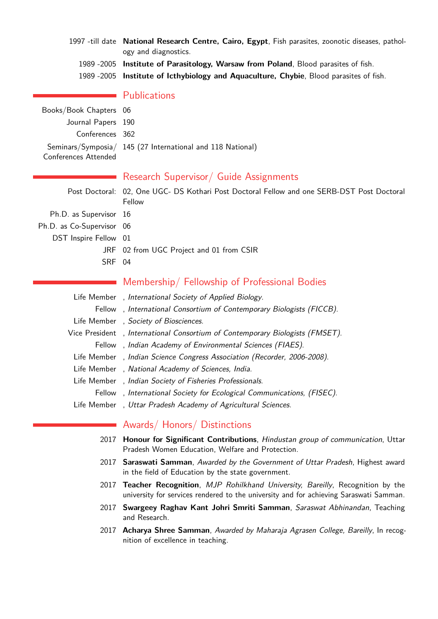- 1997 -till date **National Research Centre, Cairo, Egypt**, Fish parasites, zoonotic diseases, pathology and diagnostics.
	- 1989 -2005 **Institute of Parasitology, Warsaw from Poland**, Blood parasites of fish.
	- 1989 -2005 **Institute of Icthybiology and Aquaculture, Chybie**, Blood parasites of fish.

| Books/Book Chapters 06<br>Journal Papers 190 |                                                            |
|----------------------------------------------|------------------------------------------------------------|
| Conferences 362                              |                                                            |
| Conferences Attended                         | Seminars/Symposia/ 145 (27 International and 118 National) |

**Publications** 

# Research Supervisor/ Guide Assignments

|                           | Post Doctoral: 02, One UGC- DS Kothari Post Doctoral Fellow and one SERB-DST Post Doctoral<br>Fellow |
|---------------------------|------------------------------------------------------------------------------------------------------|
| Ph.D. as Supervisor 16    |                                                                                                      |
| Ph.D. as Co-Supervisor 06 |                                                                                                      |
| DST Inspire Fellow 01     |                                                                                                      |
|                           | JRF 02 from UGC Project and 01 from CSIR                                                             |
| SRF 04                    |                                                                                                      |
|                           |                                                                                                      |

# Membership/ Fellowship of Professional Bodies

| Life Member, International Society of Applied Biology.                       |
|------------------------------------------------------------------------------|
| Fellow, International Consortium of Contemporary Biologists (FICCB).         |
| Life Member, Society of Biosciences.                                         |
| Vice President, International Consortium of Contemporary Biologists (FMSET). |
| Fellow, Indian Academy of Environmental Sciences (FIAES).                    |
| Life Member, Indian Science Congress Association (Recorder, 2006-2008).      |
| Life Member, National Academy of Sciences, India.                            |
| Life Member, Indian Society of Fisheries Professionals.                      |
| Fellow, International Society for Ecological Communications, (FISEC).        |
| Life Member, Uttar Pradesh Academy of Agricultural Sciences.                 |

# Awards/ Honors/ Distinctions

- 2017 **Honour for Significant Contributions**, Hindustan group of communication, Uttar Pradesh Women Education, Welfare and Protection.
- 2017 **Saraswati Samman**, Awarded by the Government of Uttar Pradesh, Highest award in the field of Education by the state government.
- 2017 **Teacher Recognition**, MJP Rohilkhand University, Bareilly, Recognition by the university for services rendered to the university and for achieving Saraswati Samman.
- 2017 **Swargeey Raghav Kant Johri Smriti Samman**, Saraswat Abhinandan, Teaching and Research.
- 2017 **Acharya Shree Samman**, Awarded by Maharaja Agrasen College, Bareilly, In recognition of excellence in teaching.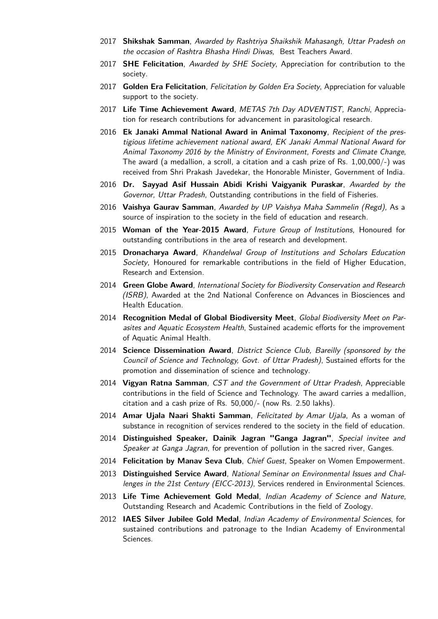- 2017 **Shikshak Samman**, Awarded by Rashtriya Shaikshik Mahasangh, Uttar Pradesh on the occasion of Rashtra Bhasha Hindi Diwas, Best Teachers Award.
- 2017 **SHE Felicitation**, Awarded by SHE Society, Appreciation for contribution to the society.
- 2017 **Golden Era Felicitation**, Felicitation by Golden Era Society, Appreciation for valuable support to the society.
- 2017 **Life Time Achievement Award**, METAS 7th Day ADVENTIST, Ranchi, Appreciation for research contributions for advancement in parasitological research.
- 2016 **Ek Janaki Ammal National Award in Animal Taxonomy**, Recipient of the prestigious lifetime achievement national award, EK Janaki Ammal National Award for Animal Taxonomy 2016 by the Ministry of Environment, Forests and Climate Change, The award (a medallion, a scroll, a citation and a cash prize of Rs. 1,00,000/-) was received from Shri Prakash Javedekar, the Honorable Minister, Government of India.
- 2016 **Dr. Sayyad Asif Hussain Abidi Krishi Vaigyanik Puraskar**, Awarded by the Governor, Uttar Pradesh, Outstanding contributions in the field of Fisheries.
- 2016 **Vaishya Gaurav Samman**, Awarded by UP Vaishya Maha Sammelin (Regd), As a source of inspiration to the society in the field of education and research.
- 2015 **Woman of the Year-2015 Award**, Future Group of Institutions, Honoured for outstanding contributions in the area of research and development.
- 2015 **Dronacharya Award**, Khandelwal Group of Institutions and Scholars Education Society, Honoured for remarkable contributions in the field of Higher Education, Research and Extension.
- 2014 **Green Globe Award**, International Society for Biodiversity Conservation and Research (ISRB), Awarded at the 2nd National Conference on Advances in Biosciences and Health Education.
- 2014 **Recognition Medal of Global Biodiversity Meet**, Global Biodiversity Meet on Parasites and Aquatic Ecosystem Health, Sustained academic efforts for the improvement of Aquatic Animal Health.
- 2014 **Science Dissemination Award**, District Science Club, Bareilly (sponsored by the Council of Science and Technology, Govt. of Uttar Pradesh), Sustained efforts for the promotion and dissemination of science and technology.
- 2014 **Vigyan Ratna Samman**, CST and the Government of Uttar Pradesh, Appreciable contributions in the field of Science and Technology. The award carries a medallion, citation and a cash prize of Rs. 50,000/- (now Rs. 2.50 lakhs).
- 2014 **Amar Ujala Naari Shakti Samman**, Felicitated by Amar Ujala, As a woman of substance in recognition of services rendered to the society in the field of education.
- 2014 **Distinguished Speaker, Dainik Jagran "Ganga Jagran"**, Special invitee and Speaker at Ganga Jagran, for prevention of pollution in the sacred river, Ganges.
- 2014 **Felicitation by Manav Seva Club**, Chief Guest, Speaker on Women Empowerment.
- 2013 **Distinguished Service Award**, National Seminar on Environmental Issues and Challenges in the 21st Century (EICC-2013), Services rendered in Environmental Sciences.
- 2013 **Life Time Achievement Gold Medal**, Indian Academy of Science and Nature, Outstanding Research and Academic Contributions in the field of Zoology.
- 2012 **IAES Silver Jubilee Gold Medal**, Indian Academy of Environmental Sciences, for sustained contributions and patronage to the Indian Academy of Environmental Sciences.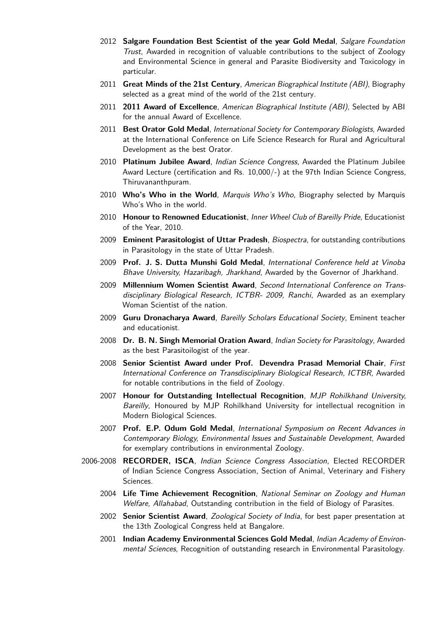- 2012 **Salgare Foundation Best Scientist of the year Gold Medal**, Salgare Foundation Trust, Awarded in recognition of valuable contributions to the subject of Zoology and Environmental Science in general and Parasite Biodiversity and Toxicology in particular.
- 2011 **Great Minds of the 21st Century**, American Biographical Institute (ABI), Biography selected as a great mind of the world of the 21st century.
- 2011 **2011 Award of Excellence**, American Biographical Institute (ABI), Selected by ABI for the annual Award of Excellence.
- 2011 **Best Orator Gold Medal**, International Society for Contemporary Biologists, Awarded at the International Conference on Life Science Research for Rural and Agricultural Development as the best Orator.
- 2010 **Platinum Jubilee Award**, Indian Science Congress, Awarded the Platinum Jubilee Award Lecture (certification and Rs. 10,000/-) at the 97th Indian Science Congress, Thiruvananthpuram.
- 2010 **Who's Who in the World**, Marquis Who's Who, Biography selected by Marquis Who's Who in the world.
- 2010 **Honour to Renowned Educationist**, Inner Wheel Club of Bareilly Pride, Educationist of the Year, 2010.
- 2009 **Eminent Parasitologist of Uttar Pradesh**, Biospectra, for outstanding contributions in Parasitology in the state of Uttar Pradesh.
- 2009 **Prof. J. S. Dutta Munshi Gold Medal**, International Conference held at Vinoba Bhave University, Hazaribagh, Jharkhand, Awarded by the Governor of Jharkhand.
- 2009 **Millennium Women Scientist Award**, Second International Conference on Transdisciplinary Biological Research, ICTBR- 2009, Ranchi, Awarded as an exemplary Woman Scientist of the nation.
- 2009 **Guru Dronacharya Award**, Bareilly Scholars Educational Society, Eminent teacher and educationist.
- 2008 **Dr. B. N. Singh Memorial Oration Award**, Indian Society for Parasitology, Awarded as the best Parasitoilogist of the year.
- 2008 **Senior Scientist Award under Prof. Devendra Prasad Memorial Chair**, First International Conference on Transdisciplinary Biological Research, ICTBR, Awarded for notable contributions in the field of Zoology.
- 2007 **Honour for Outstanding Intellectual Recognition**, MJP Rohilkhand University, Bareilly, Honoured by MJP Rohilkhand University for intellectual recognition in Modern Biological Sciences.
- 2007 **Prof. E.P. Odum Gold Medal**, International Symposium on Recent Advances in Contemporary Biology, Environmental Issues and Sustainable Development, Awarded for exemplary contributions in environmental Zoology.
- 2006-2008 **RECORDER, ISCA**, Indian Science Congress Association, Elected RECORDER of Indian Science Congress Association, Section of Animal, Veterinary and Fishery Sciences.
	- 2004 **Life Time Achievement Recognition**, National Seminar on Zoology and Human Welfare, Allahabad, Outstanding contribution in the field of Biology of Parasites.
	- 2002 **Senior Scientist Award**, Zoological Society of India, for best paper presentation at the 13th Zoological Congress held at Bangalore.
	- 2001 **Indian Academy Environmental Sciences Gold Medal**, Indian Academy of Environmental Sciences, Recognition of outstanding research in Environmental Parasitology.